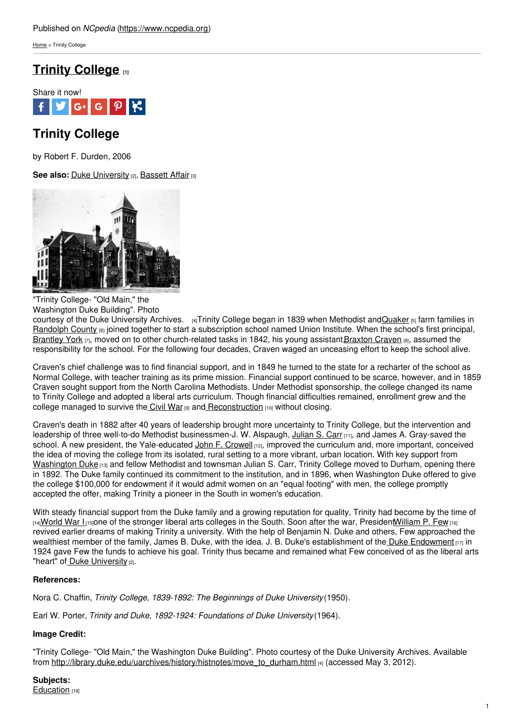[Home](https://www.ncpedia.org/) > Trinity College

## **Trinity [College](https://www.ncpedia.org/trinity-college) [1]**



# **Trinity College**

by Robert F. Durden, 2006

**See also:** Duke [University](https://www.ncpedia.org/duke-university) [2], [Bassett](https://www.ncpedia.org/bassett-affair) Affair [3]



"Trinity College- "Old Main," the Washington Duke Building". Photo

courtesy of the Duke [University](http://library.duke.edu/uarchives/history/histnotes/move_to_durham.html) Archives. [4]Trinity College began in 1839 when Methodist and [Quaker](https://www.ncpedia.org/quakers) [5] farm families in [Randolph](https://www.ncpedia.org/geography/randolph) County  $_{[6]}$  joined together to start a subscription school named Union Institute. When the school's first principal, [Brantley](https://www.ncpedia.org/biography/york-brantley) York [7], moved on to other church-related tasks in 1842, his young assistant[,Braxton](https://www.ncpedia.org/biography/craven-braxton) Craven [8], assumed the responsibility for the school. For the following four decades, Craven waged an unceasing effort to keep the school alive.

Craven's chief challenge was to find financial support, and in 1849 he turned to the state for a recharter of the school as Normal College, with teacher training as its prime mission. Financial support continued to be scarce, however, and in 1859 Craven sought support from the North Carolina Methodists. Under Methodist sponsorship, the college changed its name to Trinity College and adopted a liberal arts curriculum. Though financial difficulties remained, enrollment grew and the college managed to survive the [Civil](https://www.ncpedia.org/history/cw-1900/civil-war) War  $[9]$  and [Reconstruction](https://www.ncpedia.org/reconstruction)  $[10]$  without closing.

Craven's death in 1882 after 40 years of leadership brought more uncertainty to Trinity College, but the intervention and leadership of three well-to-do Methodist businessmen-J. W. Alspaugh, [Julian](https://www.ncpedia.org/biography/carr-julian-shakespeare) S. Carr [11], and James A. Gray-saved the school. A new president, the Yale-educated John F. [Crowell](https://www.ncpedia.org/biography/crowell-john-franklin) [12], improved the curriculum and, more important, conceived the idea of moving the college from its isolated, rural setting to a more vibrant, urban location. With key support from [Washington](https://www.ncpedia.org/biography/duke-washington) Duke [13] and fellow Methodist and townsman Julian S. Carr, Trinity College moved to Durham, opening there in 1892. The Duke family continued its commitment to the institution, and in 1896, when Washington Duke offered to give the college \$100,000 for endowment if it would admit women on an "equal footing" with men, the college promptly accepted the offer, making Trinity a pioneer in the South in women's education.

With steady financial support from the Duke family and a growing reputation for quality. Trinity had become by the time of  $_{[14]}$ [World](https://www.ncpedia.org/world-war-i) War I  $_{[15]}$ one of the stronger liberal arts colleges in the South. Soon after the war, Presiden[tWilliam](https://www.ncpedia.org/biography/few-william-preston) P. Few  $_{[16]}$ revived earlier dreams of making Trinity a university. With the help of Benjamin N. Duke and others, Few approached the wealthiest member of the family, James B. Duke, with the idea. J. B. Duke's establishment of the Duke [Endowment](https://www.ncpedia.org/duke-endowment) [17] in 1924 gave Few the funds to achieve his goal. Trinity thus became and remained what Few conceived of as the liberal arts "heart" of Duke [University](https://www.ncpedia.org/duke-university) [2].

### **References:**

Nora C. Chaffin, *Trinity College, 1839-1892: The Beginnings of Duke University*(1950).

Earl W. Porter, *Trinity and Duke, 1892-1924: Foundations of Duke University*(1964).

### **Image Credit:**

"Trinity College- "Old Main," the Washington Duke Building". Photo courtesy of the Duke University Archives. Available from [http://library.duke.edu/uarchives/history/histnotes/move\\_to\\_durham.html](http://library.duke.edu/uarchives/history/histnotes/move_to_durham.html) [4] (accessed May 3, 2012).